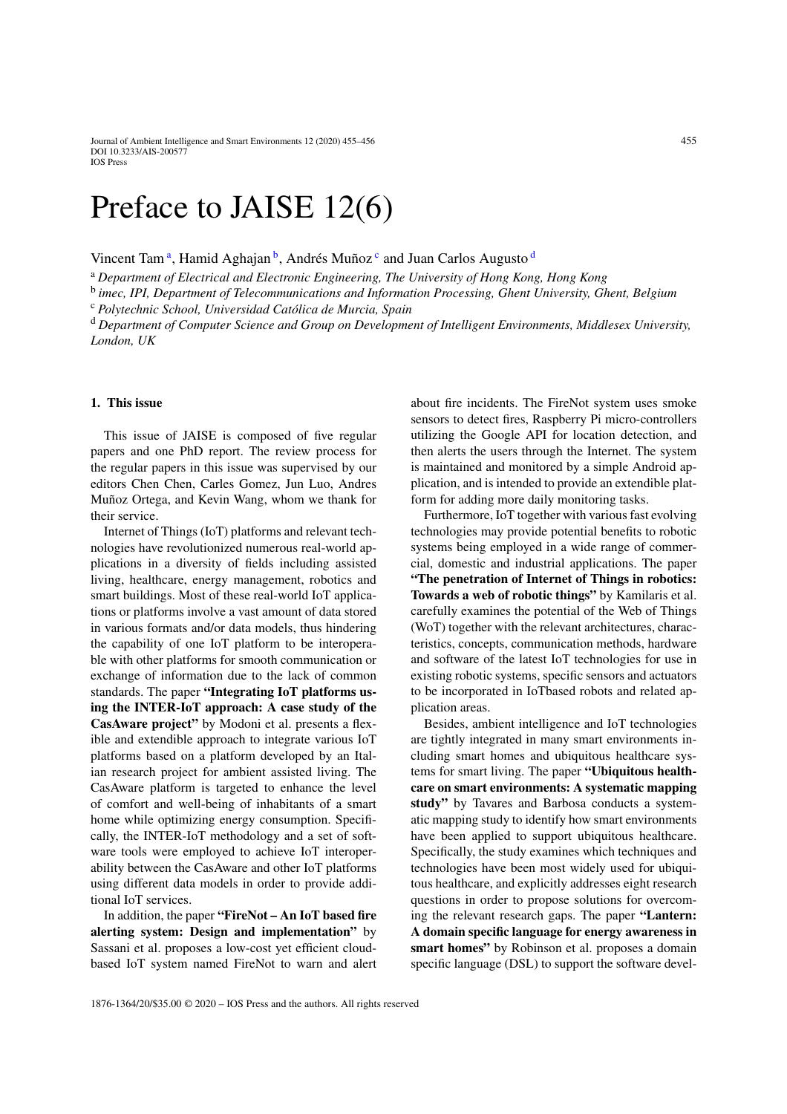Journal of Ambient Intelligence and Smart Environments 12 (2020) 455–456 455 DOI 10.3233/AIS-200577 IOS Press

## Preface to JAISE 12(6)

Vincent T[a](#page-0-0)m<sup>a</sup>, Hamid Aghajan<sup>b</sup>, Andrés Muñoz<sup>[c](#page-0-2)</sup> an[d](#page-0-3) Juan Carlos Augusto<sup>d</sup>

<span id="page-0-1"></span><sup>a</sup> *Department of Electrical and Electronic Engineering, The University of Hong Kong, Hong Kong*

<span id="page-0-2"></span><sup>b</sup> *imec, IPI, Department of Telecommunications and Information Processing, Ghent University, Ghent, Belgium*

<span id="page-0-3"></span><sup>c</sup> *Polytechnic School, Universidad Católica de Murcia, Spain*

<sup>d</sup> *Department of Computer Science and Group on Development of Intelligent Environments, Middlesex University, London, UK*

## **1. This issue**

This issue of JAISE is composed of five regular papers and one PhD report. The review process for the regular papers in this issue was supervised by our editors Chen Chen, Carles Gomez, Jun Luo, Andres Muñoz Ortega, and Kevin Wang, whom we thank for their service.

Internet of Things (IoT) platforms and relevant technologies have revolutionized numerous real-world applications in a diversity of fields including assisted living, healthcare, energy management, robotics and smart buildings. Most of these real-world IoT applications or platforms involve a vast amount of data stored in various formats and/or data models, thus hindering the capability of one IoT platform to be interoperable with other platforms for smooth communication or exchange of information due to the lack of common standards. The paper **"Integrating IoT platforms using the INTER-IoT approach: A case study of the CasAware project"** by Modoni et al. presents a flexible and extendible approach to integrate various IoT platforms based on a platform developed by an Italian research project for ambient assisted living. The CasAware platform is targeted to enhance the level of comfort and well-being of inhabitants of a smart home while optimizing energy consumption. Specifically, the INTER-IoT methodology and a set of software tools were employed to achieve IoT interoperability between the CasAware and other IoT platforms using different data models in order to provide additional IoT services.

In addition, the paper **"FireNot – An IoT based fire alerting system: Design and implementation"** by Sassani et al. proposes a low-cost yet efficient cloudbased IoT system named FireNot to warn and alert <span id="page-0-0"></span>about fire incidents. The FireNot system uses smoke sensors to detect fires, Raspberry Pi micro-controllers utilizing the Google API for location detection, and then alerts the users through the Internet. The system is maintained and monitored by a simple Android application, and is intended to provide an extendible platform for adding more daily monitoring tasks.

Furthermore, IoT together with various fast evolving technologies may provide potential benefits to robotic systems being employed in a wide range of commercial, domestic and industrial applications. The paper **"The penetration of Internet of Things in robotics: Towards a web of robotic things"** by Kamilaris et al. carefully examines the potential of the Web of Things (WoT) together with the relevant architectures, characteristics, concepts, communication methods, hardware and software of the latest IoT technologies for use in existing robotic systems, specific sensors and actuators to be incorporated in IoTbased robots and related application areas.

Besides, ambient intelligence and IoT technologies are tightly integrated in many smart environments including smart homes and ubiquitous healthcare systems for smart living. The paper **"Ubiquitous healthcare on smart environments: A systematic mapping study"** by Tavares and Barbosa conducts a systematic mapping study to identify how smart environments have been applied to support ubiquitous healthcare. Specifically, the study examines which techniques and technologies have been most widely used for ubiquitous healthcare, and explicitly addresses eight research questions in order to propose solutions for overcoming the relevant research gaps. The paper **"Lantern: A domain specific language for energy awareness in smart homes"** by Robinson et al. proposes a domain specific language (DSL) to support the software devel